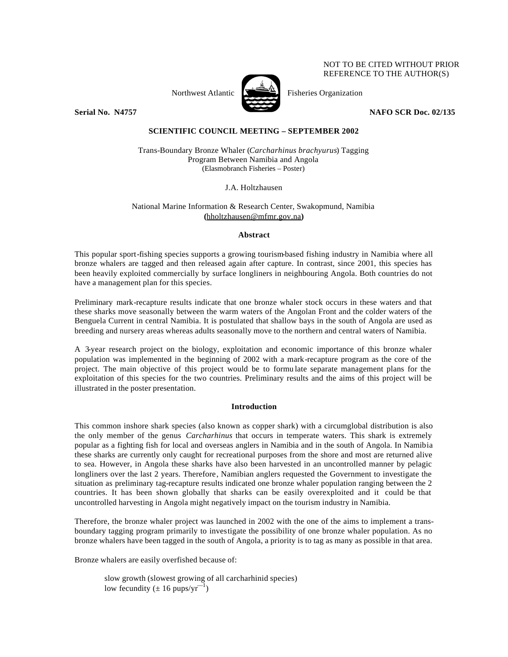NOT TO BE CITED WITHOUT PRIOR REFERENCE TO THE AUTHOR(S)



Northwest Atlantic  $\sum_{n=1}^{\infty}$  Fisheries Organization

**Serial No. N4757 NAFO SCR Doc. 02/135**

# **SCIENTIFIC COUNCIL MEETING – SEPTEMBER 2002**

Trans-Boundary Bronze Whaler (*Carcharhinus brachyurus*) Tagging Program Between Namibia and Angola (Elasmobranch Fisheries – Poster)

J.A. Holtzhausen

# National Marine Information & Research Center, Swakopmund, Namibia **(**hholtzhausen@mfmr.gov.na**)**

## **Abstract**

This popular sport-fishing species supports a growing tourism-based fishing industry in Namibia where all bronze whalers are tagged and then released again after capture. In contrast, since 2001, this species has been heavily exploited commercially by surface longliners in neighbouring Angola. Both countries do not have a management plan for this species.

Preliminary mark-recapture results indicate that one bronze whaler stock occurs in these waters and that these sharks move seasonally between the warm waters of the Angolan Front and the colder waters of the Benguela Current in central Namibia. It is postulated that shallow bays in the south of Angola are used as breeding and nursery areas whereas adults seasonally move to the northern and central waters of Namibia.

A 3-year research project on the biology, exploitation and economic importance of this bronze whaler population was implemented in the beginning of 2002 with a mark-recapture program as the core of the project. The main objective of this project would be to formu late separate management plans for the exploitation of this species for the two countries. Preliminary results and the aims of this project will be illustrated in the poster presentation.

## **Introduction**

This common inshore shark species (also known as copper shark) with a circumglobal distribution is also the only member of the genus *Carcharhinus* that occurs in temperate waters. This shark is extremely popular as a fighting fish for local and overseas anglers in Namibia and in the south of Angola. In Namibia these sharks are currently only caught for recreational purposes from the shore and most are returned alive to sea. However, in Angola these sharks have also been harvested in an uncontrolled manner by pelagic longliners over the last 2 years. Therefore, Namibian anglers requested the Government to investigate the situation as preliminary tag-recapture results indicated one bronze whaler population ranging between the 2 countries. It has been shown globally that sharks can be easily overexploited and it could be that uncontrolled harvesting in Angola might negatively impact on the tourism industry in Namibia.

Therefore, the bronze whaler project was launched in 2002 with the one of the aims to implement a transboundary tagging program primarily to investigate the possibility of one bronze whaler population. As no bronze whalers have been tagged in the south of Angola, a priority is to tag as many as possible in that area.

Bronze whalers are easily overfished because of:

slow growth (slowest growing of all carcharhinid species) low fecundity ( $\pm 16$  pups/yr<sup>-1</sup>)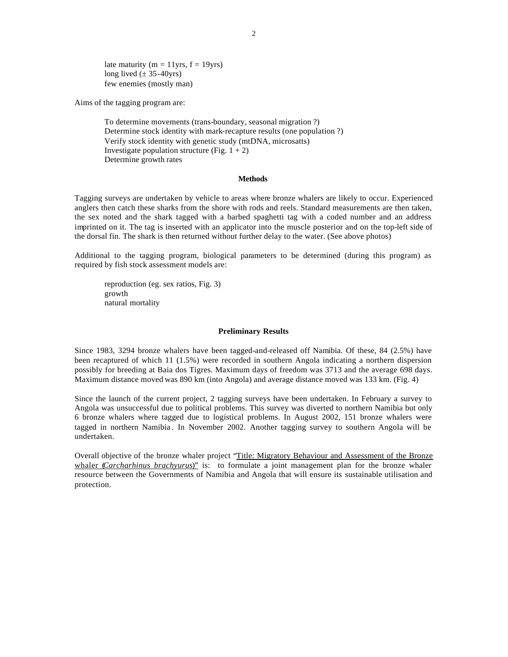late maturity ( $m = 11$ yrs,  $f = 19$ yrs) long lived  $(\pm 35 - 40yrs)$ few enemies (mostly man)

Aims of the tagging program are:

To determine movements (trans-boundary, seasonal migration ?) Determine stock identity with mark-recapture results (one population ?) Verify stock identity with genetic study (mtDNA, microsatts) Investigate population structure (Fig.  $1 + 2$ ) Determine growth rates

### **Methods**

Tagging surveys are undertaken by vehicle to areas where bronze whalers are likely to occur. Experienced anglers then catch these sharks from the shore with rods and reels. Standard measurements are then taken, the sex noted and the shark tagged with a barbed spaghetti tag with a coded number and an address imprinted on it. The tag is inserted with an applicator into the muscle posterior and on the top-left side of the dorsal fin. The shark is then returned without further delay to the water. (See above photos)

Additional to the tagging program, biological parameters to be determined (during this program) as required by fish stock assessment models are:

reproduction (eg. sex ratios, Fig. 3) growth natural mortality

#### **Preliminary Results**

Since 1983, 3294 bronze whalers have been tagged-and-released off Namibia. Of these, 84 (2.5%) have been recaptured of which 11 (1.5%) were recorded in southern Angola indicating a northern dispersion possibly for breeding at Baia dos Tigres. Maximum days of freedom was 3713 and the average 698 days. Maximum distance moved was 890 km (into Angola) and average distance moved was 133 km. (Fig. 4)

Since the launch of the current project, 2 tagging surveys have been undertaken. In February a survey to Angola was unsuccessful due to political problems. This survey was diverted to northern Namibia but only 6 bronze whalers where tagged due to logistical problems. In August 2002, 151 bronze whalers were tagged in northern Namibia . In November 2002. Another tagging survey to southern Angola will be undertaken.

Overall objective of the bronze whaler project "Title: Migratory Behaviour and Assessment of the Bronze whaler (*Carcharhinus brachyurus*)" is: to formulate a joint management plan for the bronze whaler resource between the Governments of Namibia and Angola that will ensure its sustainable utilisation and protection.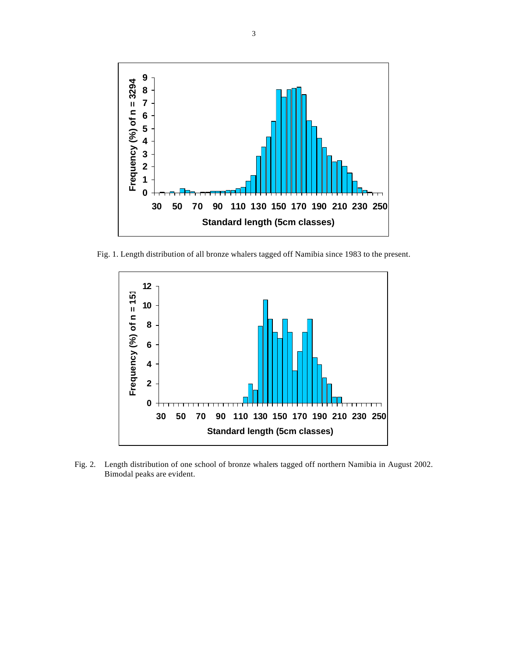

Fig. 1. Length distribution of all bronze whalers tagged off Namibia since 1983 to the present.



Fig. 2. Length distribution of one school of bronze whalers tagged off northern Namibia in August 2002. Bimodal peaks are evident.